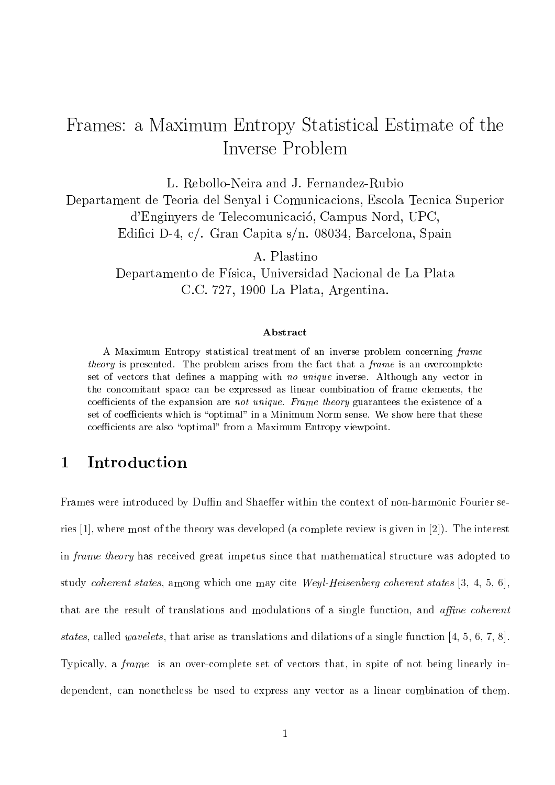# Frames: <sup>a</sup> Maximum Entropy Statistical Estimate of the Inverse Problem

L. Rebollo-Neira and J. Fernandez-Rubio Departament de Teoria del Senyal i Comunicacions, Escola Tecnica Superior d'Enginyers de Telecomunicacio, Campus Nord, UPC, Edici D-4, c/. Gran Capita s/n. 08034, Barcelona, Spain

> A. Plastino Departamento de Física, Universidad Nacional de La Plata C.C. 727, 1900 La Plata, Argentina.

#### Abstract

A Maximum Entropy statistical treatment of an inverse problem concerning frame theory is presented. The problem arises from the fact that a frame is an overcomplete set of vectors that defines a mapping with no unique inverse. Although any vector in the concomitant space can be expressed as linear combination of frame elements, the coefficients of the expansion are not unique. Frame theory guarantees the existence of a set of coefficients which is "optimal" in a Minimum Norm sense. We show here that these coefficients are also "optimal" from a Maximum Entropy viewpoint.

#### $\mathbf{1}$ **Introduction**

Frames were introduced by Duffin and Shaeffer within the context of non-harmonic Fourier series [1], where most of the theory was developed (a complete review is given in [2]). The interest in frame theory has received great impetus since that mathematical structure was adopted to study *coherent states*, among which one may cite *Weyl-Heisenberg coherent states* [3, 4, 5, 6]. that are the result of translations and modulations of a single function, and affine coherent states, called *wavelets*, that arise as translations and dilations of a single function [4, 5, 6, 7, 8]. Typically, a frame is an over-complete set of vectors that, in spite of not being linearly independent, can nonetheless be used to express any vector as a linear combination of them.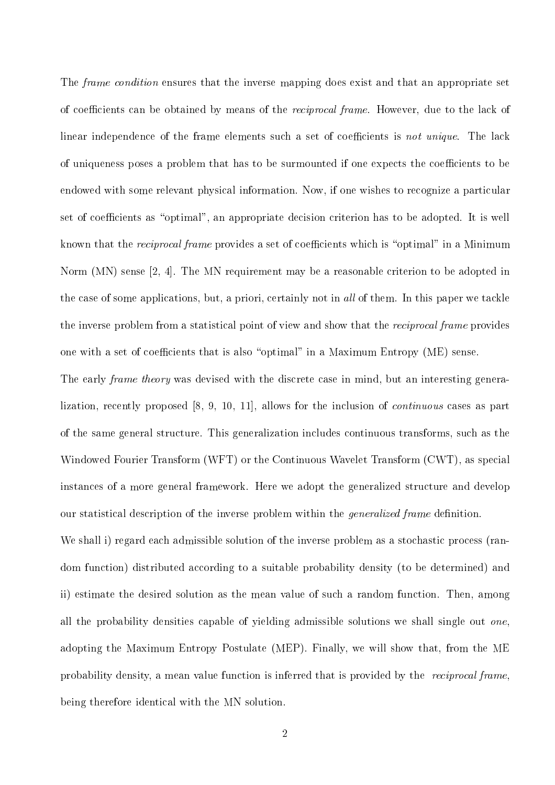The *frame condition* ensures that the inverse mapping does exist and that an appropriate set of coefficients can be obtained by means of the *reciprocal frame*. However, due to the lack of linear independence of the frame elements such a set of coefficients is not unique. The lack of uniqueness poses a problem that has to be surmounted if one expects the coefficients to be endowed with some relevant physical information. Now, if one wishes to recognize a particular set of coefficients as "optimal", an appropriate decision criterion has to be adopted. It is well known that the *reciprocal frame* provides a set of coefficients which is "optimal" in a Minimum Norm (MN) sense [2, 4]. The MN requirement may be a reasonable criterion to be adopted in the case of some applications, but, a priori, certainly not in all of them. In this paper we tackle the inverse problem from a statistical point of view and show that the reciprocal frame provides one with a set of coefficients that is also "optimal" in a Maximum Entropy (ME) sense.

The early *frame theory* was devised with the discrete case in mind, but an interesting generalization, recently proposed [8, 9, 10, 11], allows for the inclusion of continuous cases as part of the same general structure. This generalization includes continuous transforms, such as the Windowed Fourier Transform (WFT) or the Continuous Wavelet Transform (CWT), as special instances of a more general framework. Here we adopt the generalized structure and develop our statistical description of the inverse problem within the *generalized frame* definition.

We shall i) regard each admissible solution of the inverse problem as a stochastic process (random function) distributed according to a suitable probability density (to be determined) and ii) estimate the desired solution asthe mean value of such a random function. Then, among all the probability densities capable of yielding admissible solutions we shall single out one, adopting the Maximum Entropy Postulate (MEP). Finally, we will show that, from the ME probability density, a mean value function is inferred that is provided by the reciprocal frame, being therefore identical with the MN solution.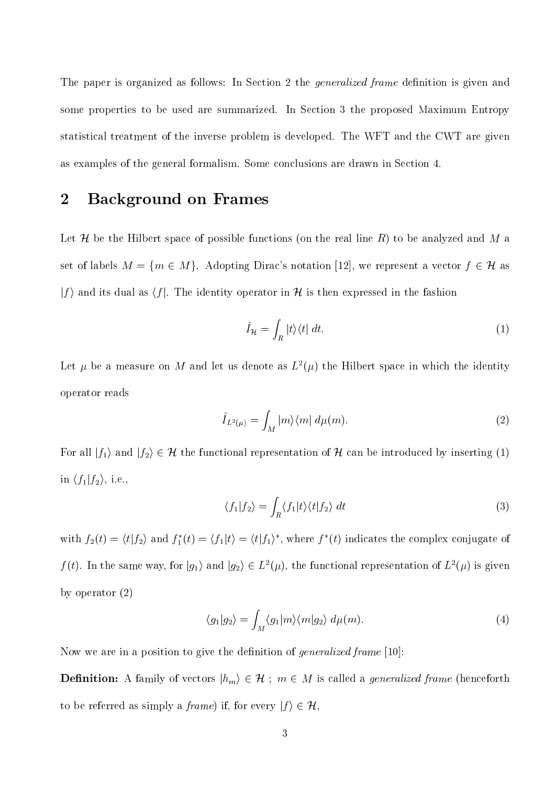The paper is organized as follows: In Section 2 the *generalized frame* definition is given and some properties to be used are summarized. In Section 3 the proposed Maximum Entropy statistical treatment of the inverse problem is developed. The WFT and the CWT are given as examples of the general formalism. Some conclusions are drawn in Section 4.

#### $\overline{2}$ 2 Background on Frames

Let  $\mu$  be the Hilbert space of possible functions (on the real line  $\mu$  and  $\mu$  and  $\mu$  and  $\mu$  and  $\mu$  and  $\mu$ set of labels  $M = \{m \in M\}$ . Adopting Dirac's notation [12], we represent a vector  $f \in \mathcal{H}$  as  $|f\rangle$  and its dual as  $\langle f|$ . The identity operator in H is then expressed in the fashion

$$
\hat{I}_{\mathcal{H}} = \int_{R} |t\rangle\langle t| \, dt. \tag{1}
$$

Let  $\mu$  be a measure on M and let us denote as  $L^2(\mu)$  the Hilbert space in which the identity operator reads

$$
\hat{I}_{L^2(\mu)} = \int_M |m\rangle\langle m| \, d\mu(m). \tag{2}
$$

For all  $|f_1\rangle$  and  $|f_2\rangle \in \mathcal{H}$  the functional representation of  $\mathcal{H}$  can be introduced by inserting (1) in hf1jf2i, i.e.,

$$
\langle f_1 | f_2 \rangle = \int_R \langle f_1 | t \rangle \langle t | f_2 \rangle \, dt \tag{3}
$$

with  $f_2(t) = \langle t | f_2 \rangle$  and  $f_1(t) = \langle f_1 | t \rangle = \langle t | f_1 \rangle$ , where f  $\langle t \rangle$  indicates the complex conjugate of  $f(t)$ . In the same way, for  $|g_1\rangle$  and  $|g_2\rangle \in L^2(\mu)$ , the functional representation of  $L^2(\mu)$  is given by operator (2)

$$
\langle g_1 | g_2 \rangle = \int_M \langle g_1 | m \rangle \langle m | g_2 \rangle \ d\mu(m). \tag{4}
$$

Now we are in a position to give the definition of *generalized frame* [10]:

**Definition:** A family of vectors  $|h_m\rangle \in \mathcal{H}$ ;  $m \in M$  is called a *generalized frame* (henceforth to be referred as simply a frame) if, for every  $|f\rangle \in \mathcal{H}$ ,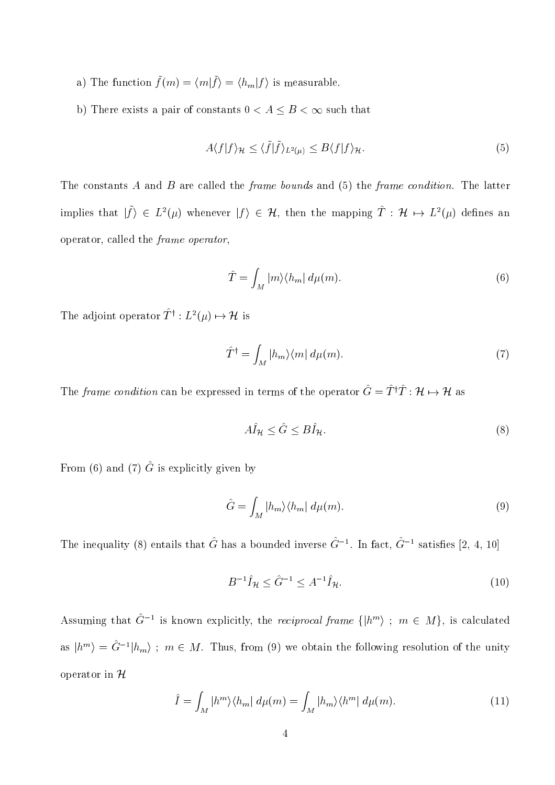- a) The function  $f(m) = \{m|f| = \langle m_m|f| \}$  is ineasurable.
- $\alpha$ ) There exists a pair of constants  $\alpha$  , the  $\alpha$  and  $\alpha$  are  $\alpha$

$$
A\langle f|f\rangle_{\mathcal{H}} \le \langle \tilde{f}|\tilde{f}\rangle_{L^2(\mu)} \le B\langle f|f\rangle_{\mathcal{H}}.\tag{5}
$$

The constants A and B are called the *frame bounds* and  $(5)$  the *frame condition*. The latter implies that  $|f\rangle \in L^2(\mu)$  whenever  $|f\rangle \in {\cal H},$  then the mapping  $I^* : {\cal H} \mapsto L^*(\mu)$  defines an operator, called the frame operator,

$$
\hat{T} = \int_M |m\rangle\langle h_m| \, d\mu(m). \tag{6}
$$

The adjoint operator  $T^{\dagger}: L^{\dagger}(\mu) \mapsto \pi$  is

$$
\hat{T}^{\dagger} = \int_{M} |h_{m}\rangle\langle m| d\mu(m). \tag{7}
$$

The *frame condition* can be expressed in terms of the operator  $G = T^T$ :  $H \mapsto H$  as

$$
A\hat{I}_{\mathcal{H}} \le \hat{G} \le B\hat{I}_{\mathcal{H}}.\tag{8}
$$

From (6) and (7) G^ is explicitly given by

$$
\hat{G} = \int_M |h_m\rangle\langle h_m| \, d\mu(m). \tag{9}
$$

The inequality (8) entails that G\_ has a bounded inverse G $^{-1}$ . In fact, G\_ $^{-}$  satisfies [2, 4, 10]

$$
B^{-1}\hat{I}_{\mathcal{H}} \le \hat{G}^{-1} \le A^{-1}\hat{I}_{\mathcal{H}}.\tag{10}
$$

Assuming that G<sup>-1</sup> is known explicitly, the *reciprocal frame*  $\{ |n^m \rangle : m \in M \}$ , is calculated as  $\ket{n^m} = G^{-1} \ket{n_m}$ ;  $m \in M$ . Thus, from (9) we obtain the following resolution of the unity operator in Home and Home in Home and Home in Home in Home in Home in Home in Home in Home in Home in Home in H

$$
\hat{I} = \int_M |h^m\rangle\langle h_m| \, d\mu(m) = \int_M |h_m\rangle\langle h^m| \, d\mu(m). \tag{11}
$$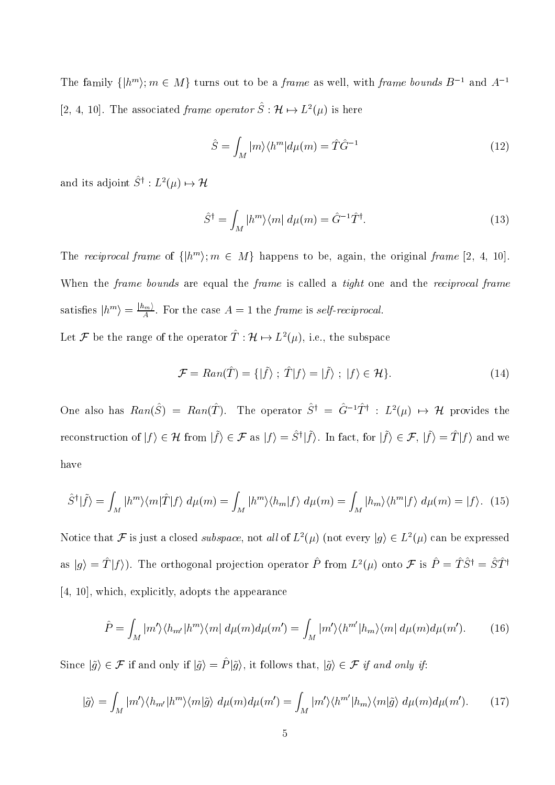The family  $\{|n^m\rangle; m \in M\}$  turns out to be a *frame* as well, with *frame bounds B*<sup>1</sup> and A<sup>1</sup>  $[2, 4, 10]$ . The associated *frame operator*  $S : H \mapsto L$  ( $\mu$ ) is here

$$
\hat{S} = \int_{M} |m\rangle\langle h^{m}|d\mu(m) = \hat{T}\hat{G}^{-1}
$$
\n(12)

and its adjoint  $S^*: L^2(\mu) \mapsto \pi$ 

$$
\hat{S}^{\dagger} = \int_{M} |h^{m}\rangle\langle m| d\mu(m) = \hat{G}^{-1}\hat{T}^{\dagger}.
$$
 (13)

The reciprocal frame of  $\{[n^m] \}$ ;  $m \in M$  and happens to be, again, the original frame  $[2, 4, 10]$ . When the frame bounds are equal the frame is called a tight one and the reciprocal frame satisfies  $\ket{h^{m}} = \frac{p_{m}}{A}$ . For the case  $A = 1$  the frame is self-reciprocal.

Let F be the range of the operator  $I : H \mapsto L^2(\mu)$ , i.e., the subspace

$$
\mathcal{F} = Ran(\hat{T}) = \{ |\tilde{f}\rangle ; \ \hat{T}|f\rangle = |\tilde{f}\rangle ; \ |f\rangle \in \mathcal{H} \}.
$$
 (14)

One also has  $\text{Ran}(S) = \text{Ran}(T)$ . The operator  $S^\vee = G^{-1}$ :  $L^*(\mu) \mapsto H$  provides the reconstruction of  $|f\rangle \in H$  from  $|f\rangle \in \mathcal{F}$  as  $|f\rangle \equiv S^{*}|f\rangle$ . In fact, for  $|f\rangle \in \mathcal{F}$ ,  $|f\rangle \equiv I|f\rangle$  and we have

$$
\hat{S}^{\dagger}|\tilde{f}\rangle = \int_{M} |h^{m}\rangle\langle m|\hat{T}|f\rangle \,d\mu(m) = \int_{M} |h^{m}\rangle\langle h_{m}|f\rangle \,d\mu(m) = \int_{M} |h_{m}\rangle\langle h^{m}|f\rangle \,d\mu(m) = |f\rangle. \tag{15}
$$

Notice that F is just a closed *subspace*, not *all* of  $L^2(\mu)$  (not every  $|g\rangle \in L^2(\mu)$  can be expressed as  $|q\rangle = I|f\rangle$ ). The orthogonal projection operator P^ from L-( $\mu$ ) onto F is  $P = I|S\rangle = SI^\gamma$ [4, 10], which, explicitly, adopts the appearance

$$
\hat{P} = \int_M |m'\rangle\langle h_{m'}|h^m\rangle\langle m| d\mu(m)d\mu(m') = \int_M |m'\rangle\langle h^{m'}|h_m\rangle\langle m| d\mu(m)d\mu(m'). \tag{16}
$$

Since  $|g/\in J|$  if and only if  $|g/\equiv I|g\rangle$ , it follows that,  $|g/\in J|$  if and only if.

$$
|\tilde{g}\rangle = \int_M |m'\rangle\langle h_{m'}|h^m\rangle\langle m|\tilde{g}\rangle \ d\mu(m)d\mu(m') = \int_M |m'\rangle\langle h^{m'}|h_m\rangle\langle m|\tilde{g}\rangle \ d\mu(m)d\mu(m'). \tag{17}
$$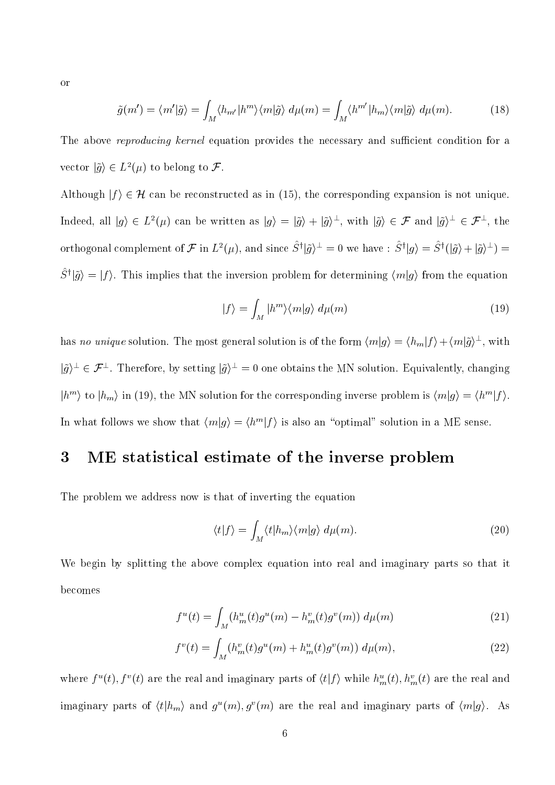$$
\tilde{g}(m') = \langle m' | \tilde{g} \rangle = \int_M \langle h_{m'} | h^m \rangle \langle m | \tilde{g} \rangle \, d\mu(m) = \int_M \langle h^{m'} | h_m \rangle \langle m | \tilde{g} \rangle \, d\mu(m). \tag{18}
$$

The above reproducing kernel equation provides the necessary and sufficient condition for a vector  $|\tilde{g}\rangle \in L^2(\mu)$  to belong to  $\mathcal{F}$ .

Although  $|f\rangle \in \mathcal{H}$  can be reconstructed as in (15), the corresponding expansion is not unique. Indeed, all  $|q\rangle \in L^2(\mu)$  can be written as  $|q\rangle \equiv |q\rangle + |q\rangle^2$ , with  $|q\rangle \in \mathcal{F}$  and  $|q\rangle^2 \in \mathcal{F}^2$ , the orthogonal complement of F in E  $(\mu)$ , and since  $S'(y)^{-} = 0$  we have :  $S'(y) = S'(y) + (y)^{-} = 0$  $S^*(q) \equiv (f)$ . This implies that the inversion problem for determining  $\langle m | q \rangle$  from the equation

$$
|f\rangle = \int_{M} |h^{m}\rangle \langle m|g\rangle \, d\mu(m) \tag{19}
$$

has no unique solution. The most general solution is of the form  $\langle m | g \rangle = \langle n_m | f \rangle + \langle m | g \rangle^{\perp}$ , with  $|g\rangle^{\perp} \in \mathcal{F}^{\perp}$ . Therefore, by setting  $|g\rangle^{\perp} = 0$  one obtains the MN solution. Equivalently, changing  $\mu \rightarrow$  to  $\mu_m$ ) in (19), the MN solution for the corresponding inverse problem is  $\langle m|g \rangle = \langle n|/f \rangle$ . In what follows we show that  $\langle m | g \rangle \equiv \langle n | | f \rangle$  is also an  $\sim$  optimal  $\sim$  solution in a ME sense.

## 3 ME statistical estimate of the inverse problem

The problem we address now is that of inverting the equation

$$
\langle t|f\rangle = \int_M \langle t|h_m\rangle \langle m|g\rangle \ d\mu(m). \tag{20}
$$

We begin by splitting the above complex equation into real and imaginary parts so that it becomes

$$
f^{u}(t) = \int_{M} (h_{m}^{u}(t)g^{u}(m) - h_{m}^{v}(t)g^{v}(m)) d\mu(m)
$$
 (21)

$$
f^{v}(t) = \int_{M} (h_{m}^{v}(t)g^{u}(m) + h_{m}^{u}(t)g^{v}(m)) d\mu(m), \qquad (22)
$$

where  $f^{\pi}(t)$ ,  $f^{\pi}(t)$  are the real and imaginary parts of  $\{t|f\}$  while  $h_m^{\pi}(t)$ ,  $h_m^{\pi}(t)$  are the real and imaginary parts of  $\langle v | n_m \rangle$  and  $g$  ( $m$ ),  $g$  ( $m$ ) are the real and imaginary parts of  $\langle m | g \rangle$ . As

or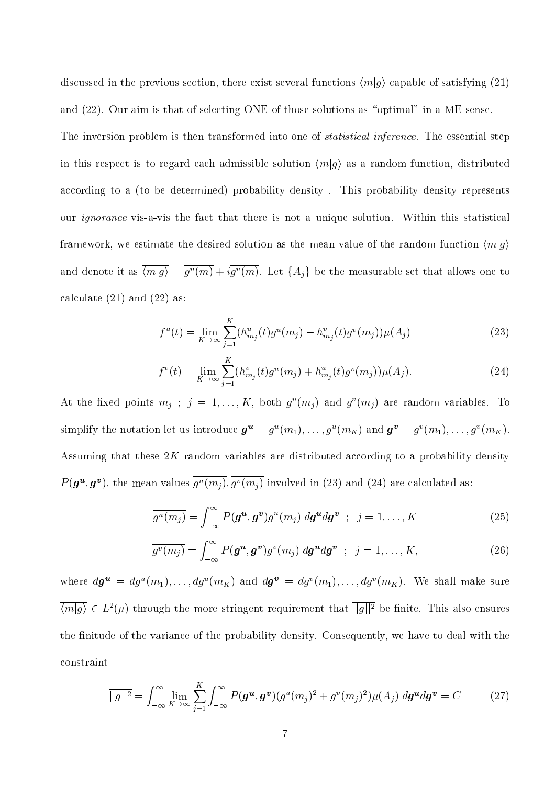discussed in the previous section, there exist several functions  $\langle m|g \rangle$  capable of satisfying (21) and  $(22)$ . Our aim is that of selecting ONE of those solutions as "optimal" in a ME sense. The inversion problem is then transformed into one of *statistical inference*. The essential step in this respect is to regard each admissible solution hmjgi as <sup>a</sup> random function, distributed according to a (to be determined) probability density . This probability density represents our ignorance vis-a-vis the fact that there is not a unique solution. Within this statistical framework, we estimate the desired solution as the mean value of the random function  $\langle m|g \rangle$ and denote it as  $\langle m|g\rangle = g(m)\pm ig(m)$ . Let  $\Delta_i$  be the measurable set that allows one to calculate  $(21)$  and  $(22)$  as:

$$
f^{u}(t) = \lim_{K \to \infty} \sum_{j=1}^{K} (h_{m_j}^{u}(t)\overline{g^{u}(m_j)} - h_{m_j}^{v}(t)\overline{g^{v}(m_j)})\mu(A_j)
$$
(23)

$$
f^{v}(t) = \lim_{K \to \infty} \sum_{j=1}^{K} (h_{m_j}^{v}(t)\overline{g^{u}(m_j)} + h_{m_j}^{u}(t)\overline{g^{v}(m_j)})\mu(A_j).
$$
 (24)

At the fixed points  $m_i$  ;  $j = 1, \ldots, K$ , both  $g^*(m_i)$  and  $g^*(m_j)$  are random variables. To simplify the notation let us introduce  $\boldsymbol{g}^* = g^*(m_1),\ldots,g^*(m_K)$  and  $\boldsymbol{g}^* = g^*(m_1),\ldots,g^*(m_K).$ Assuming that these  $2K$  random variables are distributed according to a probability density  $P(\bm{g}^{\omega},\bm{g}^{\omega}) ,$  the mean values  $g^u(m_j), g^v(m_j)$  involved in (23) and (24) are calculated as:

$$
\overline{g^u(m_j)} = \int_{-\infty}^{\infty} P(\boldsymbol{g^u}, \boldsymbol{g^v}) g^u(m_j) \, d\boldsymbol{g^u} d\boldsymbol{g^v} \hspace{1mm}; \hspace{1mm} j = 1, \ldots, K \hspace{1mm} (25)
$$

$$
\overline{g^v(m_j)} = \int_{-\infty}^{\infty} P(\boldsymbol{g^u}, \boldsymbol{g^v}) g^v(m_j) d\boldsymbol{g^u} d\boldsymbol{g^v} \hspace{0.2cm}; \hspace{0.2cm} j = 1, ..., K, \hspace{1cm} (26)
$$

where  $ag^{\omega} = ag^{\omega}(m_1), \ldots, ag^{\omega}(m_K)$  and  $ag^{\omega} = ag^{\omega}(m_1), \ldots, ag^{\omega}(m_K)$ . We shall make sure  $\overline{\langle m|g\rangle} \in L^2(\mu)$  through the more stringent requirement that  $\overline{||g||^2}$  be finite. This also ensures the finitude of the variance of the probability density. Consequently, we have to deal with the constraint

$$
\overline{||g||^2} = \int_{-\infty}^{\infty} \lim_{K \to \infty} \sum_{j=1}^{K} \int_{-\infty}^{\infty} P(g^u, g^v) (g^u(m_j)^2 + g^v(m_j)^2) \mu(A_j) d\mathbf{g}^u d\mathbf{g}^v = C \tag{27}
$$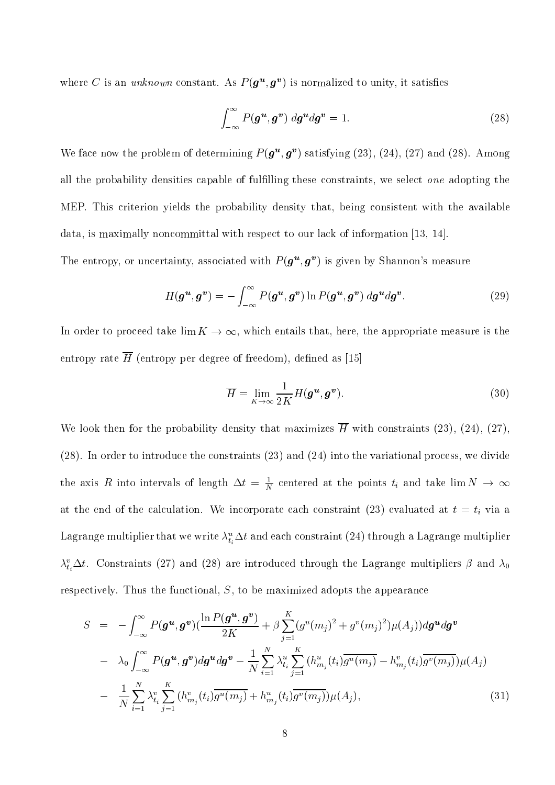where  $C$  is an *unknown* constant. As  $P(\bm{g}^{\omega}, \bm{g}^{\omega})$  is normalized to unity, it satisfies

$$
\int_{-\infty}^{\infty} P(\boldsymbol{g}^{\boldsymbol{u}}, \boldsymbol{g}^{\boldsymbol{v}}) \, d\boldsymbol{g}^{\boldsymbol{u}} d\boldsymbol{g}^{\boldsymbol{v}} = 1.
$$
 (28)

We face now the problem of determining  $P(g^{\omega}, g^{\nu})$  satisfying (23), (24), (27) and (28). Among all the probability densities capable of fulfilling these constraints, we select one adopting the MEP. This criterion yields the probability density that, being consistent with the available data, is maximally noncommittal with respect to our lack of information [13, 14].

The entropy, or uncertainty, associated with  $P(\boldsymbol{g^u}, \boldsymbol{g^v})$  is given by Shannon's measure

$$
H(g^{\boldsymbol{u}}, g^{\boldsymbol{v}}) = -\int_{-\infty}^{\infty} P(g^{\boldsymbol{u}}, g^{\boldsymbol{v}}) \ln P(g^{\boldsymbol{u}}, g^{\boldsymbol{v}}) \, dg^{\boldsymbol{u}} dg^{\boldsymbol{v}}.
$$
 (29)

In order to proceed take  $\lim K \to \infty$ , which entails that, here, the appropriate measure is the entropy rate  $\overline{H}$  (entropy per degree of freedom), defined as [15]

$$
\overline{H} = \lim_{K \to \infty} \frac{1}{2K} H(\mathbf{g}^{\mathbf{u}}, \mathbf{g}^{\mathbf{v}}).
$$
\n(30)

We look then for the probability density that maximizes  $\overline{H}$  with constraints (23), (24), (27), (28). In order to introduce the constraints (23) and (24) into the variational process, we divide the axis R into intervals of length  $\Delta t = \frac{1}{N}$  centered at the points  $t_i$  and take lim  $N \to \infty$ at the end of the calculation. We incorporate each constraint (23) evaluated at  $t = t_i$  via a Lagrange multiplier that we write  $\lambda_{t_i} \Delta t$  and each constraint (24) through a Lagrange multiplier  $\lambda_{t_i}\Delta t$ . Constraints (27) and (28) are introduced through the Lagrange multipliers  $\rho$  and  $\lambda_0$ respectively. Thus the functional, S, to be maximized adopts the appearance

$$
S = -\int_{-\infty}^{\infty} P(\boldsymbol{g} \cdot \boldsymbol{g}^{\nu}) (\frac{\ln P(\boldsymbol{g} \cdot \boldsymbol{g}^{\nu})}{2K} + \beta \sum_{j=1}^{K} (g^{u}(m_{j})^{2} + g^{v}(m_{j})^{2}) \mu(A_{j})) d\boldsymbol{g}^{\nu} d\boldsymbol{g}^{\nu} - \lambda_{0} \int_{-\infty}^{\infty} P(\boldsymbol{g}^{\nu}, \boldsymbol{g}^{\nu}) d\boldsymbol{g}^{\nu} d\boldsymbol{g}^{\nu} - \frac{1}{N} \sum_{i=1}^{N} \lambda_{t_{i}}^{u} \sum_{j=1}^{K} (h_{m_{j}}^{u}(t_{i}) \overline{g^{u}(m_{j})} - h_{m_{j}}^{v}(t_{i}) \overline{g^{v}(m_{j})}) \mu(A_{j}) - \frac{1}{N} \sum_{i=1}^{N} \lambda_{t_{i}}^{v} \sum_{j=1}^{K} (h_{m_{j}}^{v}(t_{i}) \overline{g^{u}(m_{j})} + h_{m_{j}}^{u}(t_{i}) \overline{g^{v}(m_{j})}) \mu(A_{j}),
$$
(31)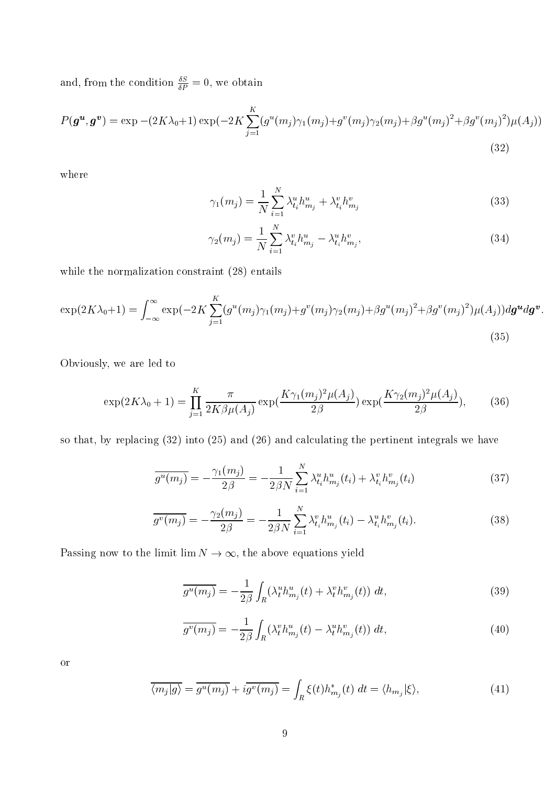and, from the condition  $\frac{\partial P}{\partial P} = 0$ , we obtain

$$
P(g^u, g^v) = \exp -(2K\lambda_0 + 1) \exp(-2K \sum_{j=1}^K (g^u(m_j)\gamma_1(m_j) + g^v(m_j)\gamma_2(m_j) + \beta g^u(m_j)^2 + \beta g^v(m_j)^2)\mu(A_j))
$$
\n(32)

where

$$
\gamma_1(m_j) = \frac{1}{N} \sum_{i=1}^N \lambda_{t_i}^u h_{m_j}^u + \lambda_{t_i}^v h_{m_j}^v \tag{33}
$$

$$
\gamma_2(m_j) = \frac{1}{N} \sum_{i=1}^N \lambda_{t_i}^v h_{m_j}^u - \lambda_{t_i}^u h_{m_j}^v,
$$
\n(34)

while the normalization constraint (28) entails

$$
\exp(2K\lambda_0+1) = \int_{-\infty}^{\infty} \exp(-2K \sum_{j=1}^{K} (g^u(m_j)\gamma_1(m_j) + g^v(m_j)\gamma_2(m_j) + \beta g^u(m_j)^2 + \beta g^v(m_j)^2)\mu(A_j))d\mathbf{g}^u d\mathbf{g}^v.
$$
\n(35)

Obviously, we are led to

$$
\exp(2K\lambda_0 + 1) = \prod_{j=1}^{K} \frac{\pi}{2K\beta\mu(A_j)} \exp(\frac{K\gamma_1(m_j)^2 \mu(A_j)}{2\beta}) \exp(\frac{K\gamma_2(m_j)^2 \mu(A_j)}{2\beta}), \quad (36)
$$

so that, by replacing (32) into (25) and (26) and calculating the pertinent integrals we have

$$
\overline{g^u(m_j)} = -\frac{\gamma_1(m_j)}{2\beta} = -\frac{1}{2\beta N} \sum_{i=1}^N \lambda_{t_i}^u h_{m_j}^u(t_i) + \lambda_{t_i}^v h_{m_j}^v(t_i)
$$
\n(37)

$$
\overline{g^v(m_j)} = -\frac{\gamma_2(m_j)}{2\beta} = -\frac{1}{2\beta N} \sum_{i=1}^N \lambda_{t_i}^v h_{m_j}^u(t_i) - \lambda_{t_i}^u h_{m_j}^v(t_i). \tag{38}
$$

Passing now to the limit  $\lim N \to \infty,$  the above equations yield

$$
\overline{g^u(m_j)} = -\frac{1}{2\beta} \int_R (\lambda_t^u h_{m_j}^u(t) + \lambda_t^v h_{m_j}^v(t)) dt,
$$
\n(39)

$$
\overline{g^v(m_j)} = -\frac{1}{2\beta} \int_R \left(\lambda_t^v h_{m_j}^u(t) - \lambda_t^u h_{m_j}^v(t)\right) dt,\tag{40}
$$

or

$$
\overline{\langle m_j|g\rangle} = \overline{g^u(m_j)} + i\overline{g^v(m_j)} = \int_R \xi(t)h_{m_j}^*(t) dt = \langle h_{m_j}|\xi\rangle,
$$
\n(41)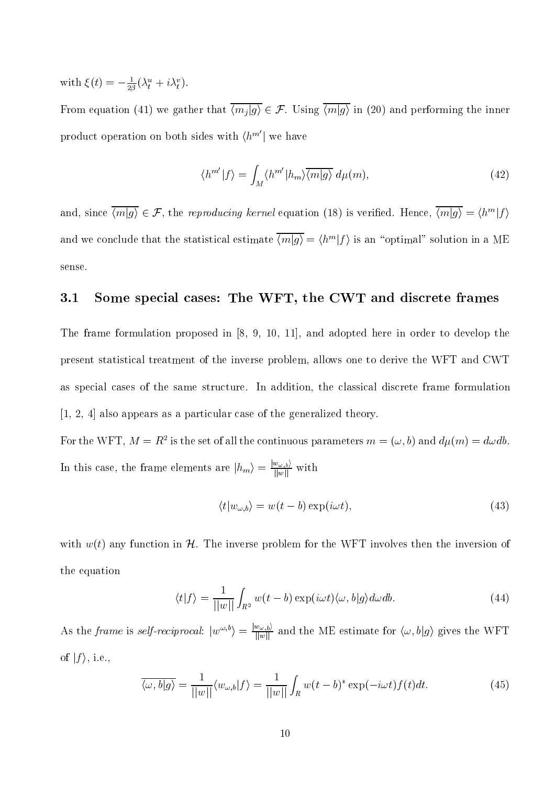with  $\xi(t) = -\frac{1}{2\beta}(\lambda_t^2 + i\lambda_t^2)$ .

From equation (41) we gather that  $\overline{\langle m_j|g\rangle} \in \mathcal{F}$ . Using  $\overline{\langle m|g\rangle}$  in (20) and performing the inner product operation on both sides with  $\langle h^m |$  we have

$$
\langle h^{m'}|f\rangle = \int_{M} \langle h^{m'}|h_{m}\rangle \overline{\langle m|g\rangle} \, d\mu(m), \tag{42}
$$

and, since  $\langle m|q\rangle \in \mathcal{F}$ , the *reproducing kernel* equation (18) is verified. Hence,  $\langle m|q\rangle \equiv \langle n^{-} |f\rangle$ and we conclude that the statistical estimate  $\langle m | q \rangle = \langle n^{\alpha} | f \rangle$  is an  $\alpha$  optimal solution in a ME sense.

#### 3.1 Some special cases: The WFT, the CWT and discrete frames

The frame formulation proposed in [8, 9, 10, 11], and adopted here in order to develop the present statistical treatment of the inverse problem, allows one to derive the WFT and CWT as special cases of the same structure. In addition, the classical discrete frame formulation [1, 2, 4] also appears as a particular case of the generalized theory.

For the WFT,  $M = R^2$  is the set of all the continuous parameters  $m = (\omega, \theta)$  and  $a\mu(m) = a\omega a\theta$ . In this case, the frame elements are  $|h_m\rangle = \frac{|\psi_m\rangle|}{||w||}$  with

$$
\langle t|w_{\omega,b}\rangle = w(t-b)\exp(i\omega t),\tag{43}
$$

which was function in H. The inverse problem for the involves the WFT involves the involves then the involves the inversion of the inversion of the involves the involves the involves the involves then the involves the inv the equation

$$
\langle t|f\rangle = \frac{1}{||w||} \int_{R^2} w(t-b) \exp(i\omega t) \langle \omega, b|g \rangle d\omega db. \tag{44}
$$

As the frame is self-reciprocal:  $|w^{*,*}\rangle = \frac{1-\omega_{*,0}}{||w||}$  and the ME estimate for  $\langle \omega, b | g \rangle$  gives the WFT of  $|f\rangle$ , i.e.,

$$
\overline{\langle \omega, b | g \rangle} = \frac{1}{||w||} \langle w_{\omega, b} | f \rangle = \frac{1}{||w||} \int_{R} w(t - b)^* \exp(-i\omega t) f(t) dt.
$$
 (45)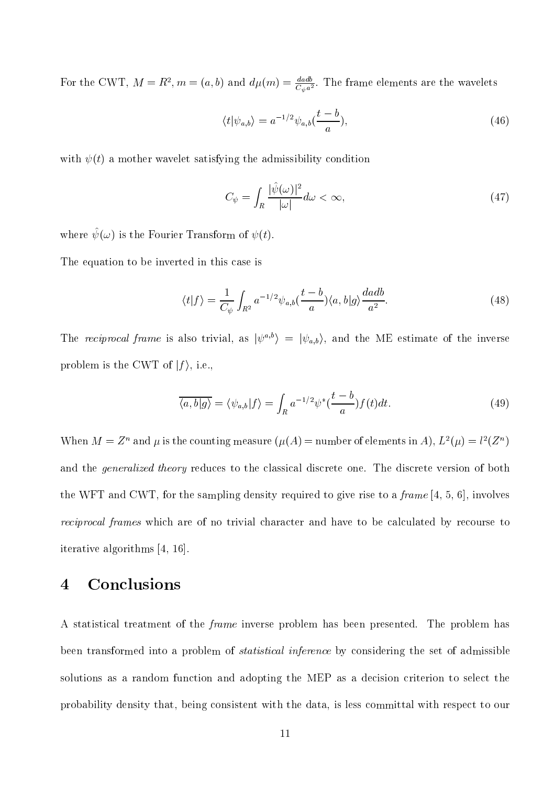For the CWT,  $M = R^2, m = (a, b)$  and  $a\mu(m) = \frac{C_{\psi}a^2}{C_{\psi}a^2}$ . The frame elements are the wavelets

$$
\langle t|\psi_{a,b}\rangle = a^{-1/2}\psi_{a,b}(\frac{t-b}{a}),\tag{46}
$$

with  $\psi(t)$  a mother wavelet satisfying the admissibility condition

$$
C_{\psi} = \int_{R} \frac{|\hat{\psi}(\omega)|^2}{|\omega|} d\omega < \infty, \tag{47}
$$

where  $\psi(\omega)$  is the Fourier Transform of  $\psi(t)$ .

The equation to be inverted in this case is

$$
\langle t|f\rangle = \frac{1}{C_{\psi}} \int_{R^2} a^{-1/2} \psi_{a,b}(\frac{t-b}{a}) \langle a,b|g\rangle \frac{dadb}{a^2}.
$$
 (48)

The reciprocal frame is also trivial, as  $|\psi^{a,b}\rangle = |\psi_{a,b}\rangle$ , and the ME estimate of the inverse problem is the CWT of  $|f\rangle$ , i.e.,

$$
\overline{\langle a,b|g\rangle} = \langle \psi_{a,b}|f\rangle = \int_{R} a^{-1/2} \psi^* \left(\frac{t-b}{a}\right) f(t) dt. \tag{49}
$$

When  $M = Z^n$  and  $\mu$  is the counting measure  $(\mu(A) = \text{number of elements in } A), L^2(\mu) = l^2(Z^n)$  $\blacksquare$ and the *generalized theory* reduces to the classical discrete one. The discrete version of both the WFT and CWT, for the sampling density required to give rise to a frame [4, 5, 6], involves reciprocal frames which are of no trivial character and have to be calculated by recourse to iterative algorithms [4, 16].

## 4 Conclusions

A statistical treatment of the frame inverse problem has been presented. The problem has been transformed into a problem of statistical inference by considering the set of admissible solutions as a random function and adopting the MEP as a decision criterion to select the probability density that, being consistent with the data, is less committal with respect to our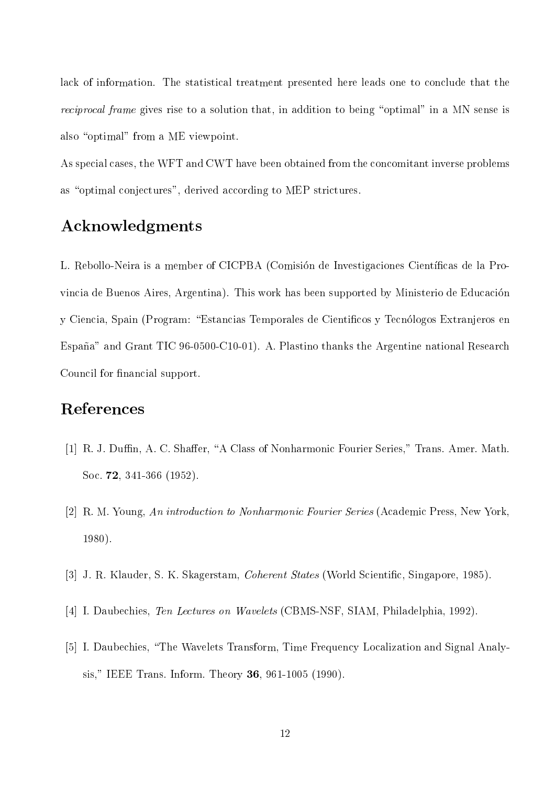lack of information. The statistical treatment presented here leads one to conclude that the *reciprocal frame* gives rise to a solution that, in addition to being "optimal" in a MN sense is also "optimal" from a ME viewpoint.

As special cases, the WFT and CWT have been obtained from the concomitant inverse problems as "optimal conjectures", derived according to MEP strictures.

### Acknowledgments

L. Rebollo-Neira is a member of CICPBA (Comisión de Investigaciones Científicas de la Provincia de Buenos Aires, Argentina). This work has been supported by Ministerio de Educacion y Ciencia, Spain (Program: "Estancias Temporales de Cientificos y Tecnólogos Extranjeros en España" and Grant TIC 96-0500-C10-01). A. Plastino thanks the Argentine national Research Council for financial support.

### References

- [1] R. J. Duffin, A. C. Shaffer, "A Class of Nonharmonic Fourier Series," Trans. Amer. Math. Soc. 72, 341-366 (1952).
- [2] R. M. Young, An introduction to Nonharmonic Fourier Series (Academic Press, New York, 1980).
- [3] J. R. Klauder, S. K. Skagerstam, Coherent States (World Scientific, Singapore, 1985).
- [4] I. Daubechies, Ten Lectures on Wavelets (CBMS-NSF, SIAM, Philadelphia, 1992).
- [5] I. Daubechies, "The Wavelets Transform, Time Frequency Localization and Signal Analysis," IEEE Trans. Inform. Theory 36, 961-1005 (1990).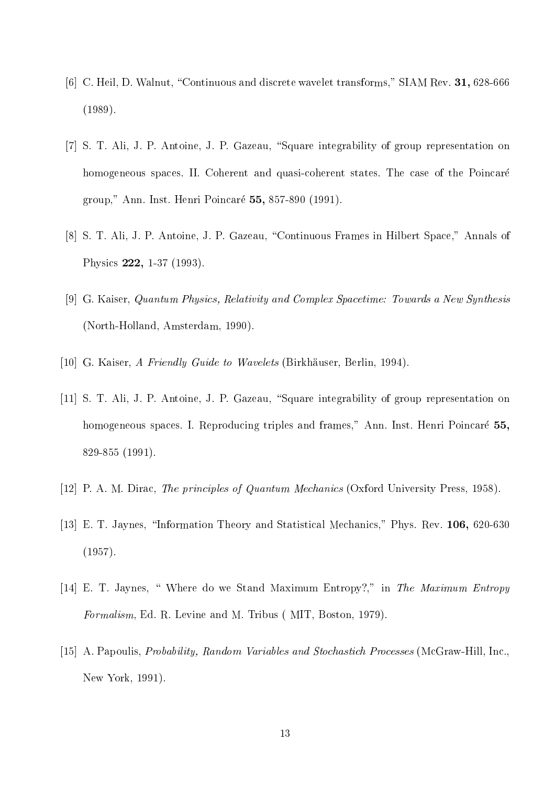- [6] C. Heil, D. Walnut, "Continuous and discrete wavelet transforms," SIAM Rev. 31, 628-666 (1989).
- [7] S. T. Ali, J. P. Antoine, J. P. Gazeau, "Square integrability of group representation on homogeneous spaces. II. Coherent and quasi-coherent states. The case of the Poincaré group," Ann. Inst. Henri Poincare 55, 857-890 (1991).
- [8] S. T. Ali, J. P. Antoine, J. P. Gazeau, "Continuous Frames in Hilbert Space," Annals of Physics 222, 1-37 (1993).
- [9] G. Kaiser, Quantum Physics, Relativity and Complex Spacetime: Towards a New Synthesis (North-Holland, Amsterdam, 1990).
- [10] G. Kaiser, A Friendly Guide to Wavelets (Birkhäuser, Berlin, 1994).
- [11] S. T. Ali, J. P. Antoine, J. P. Gazeau, "Square integrability of group representation on homogeneous spaces. I. Reproducing triples and frames," Ann. Inst. Henri Poincaré 55, 829-855 (1991).
- [12] P. A. M. Dirac, The principles of Quantum Mechanics (Oxford University Press, 1958).
- [13] E. T. Jaynes, "Information Theory and Statistical Mechanics," Phys. Rev. 106, 620-630 (1957).
- [14] E. T. Jaynes, \ Where do we Stand Maximum Entropy?," in The Maximum Entropy Formalism, Ed. R. Levine and M. Tribus ( MIT, Boston, 1979).
- [15] A. Papoulis, Probability, Random Variables and Stochastich Processes (McGraw-Hill, Inc., New York, 1991).